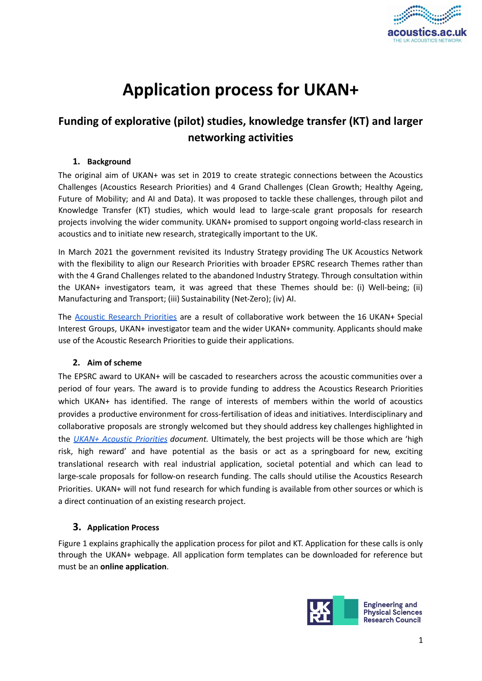

# **Application process for UKAN+**

# **Funding of explorative (pilot) studies, knowledge transfer (KT) and larger networking activities**

# **1. Background**

The original aim of UKAN+ was set in 2019 to create strategic connections between the Acoustics Challenges (Acoustics Research Priorities) and 4 Grand Challenges (Clean Growth; Healthy Ageing, Future of Mobility; and AI and Data). It was proposed to tackle these challenges, through pilot and Knowledge Transfer (KT) studies, which would lead to large-scale grant proposals for research projects involving the wider community. UKAN+ promised to support ongoing world-class research in acoustics and to initiate new research, strategically important to the UK.

In March 2021 the government revisited its Industry Strategy providing The UK Acoustics Network with the flexibility to align our Research Priorities with broader EPSRC research Themes rather than with the 4 Grand Challenges related to the abandoned Industry Strategy. Through consultation within the UKAN+ investigators team, it was agreed that these Themes should be: (i) Well-being; (ii) Manufacturing and Transport; (iii) Sustainability (Net-Zero); (iv) AI.

The Acoustic [Research](https://acoustics.ac.uk/acoustics-research-priorities/) Priorities are a result of collaborative work between the 16 UKAN+ Special Interest Groups, UKAN+ investigator team and the wider UKAN+ community. Applicants should make use of the Acoustic Research Priorities to guide their applications.

# **2. Aim of scheme**

The EPSRC award to UKAN+ will be cascaded to researchers across the acoustic communities over a period of four years. The award is to provide funding to address the Acoustics Research Priorities which UKAN+ has identified. The range of interests of members within the world of acoustics provides a productive environment for cross-fertilisation of ideas and initiatives. Interdisciplinary and collaborative proposals are strongly welcomed but they should address key challenges highlighted in the *UKAN+ Acoustic [Priorities](https://docs.google.com/document/d/1yZZhMCSGTKSAJGSstBEeWmMiXl9E5gOG/edit) document.* Ultimately, the best projects will be those which are 'high risk, high reward' and have potential as the basis or act as a springboard for new, exciting translational research with real industrial application, societal potential and which can lead to large-scale proposals for follow-on research funding. The calls should utilise the Acoustics Research Priorities. UKAN+ will not fund research for which funding is available from other sources or which is a direct continuation of an existing research project.

# **3. Application Process**

Figure 1 explains graphically the application process for pilot and KT. Application for these calls is only through the UKAN+ webpage. All application form templates can be downloaded for reference but must be an **online application**.

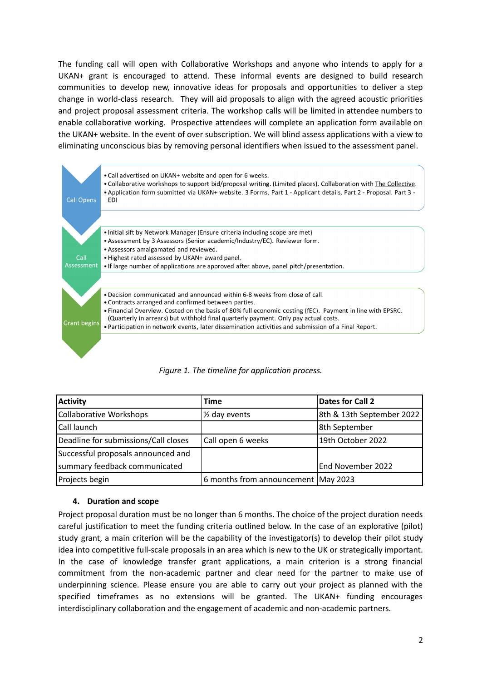The funding call will open with Collaborative Workshops and anyone who intends to apply for a UKAN+ grant is encouraged to attend. These informal events are designed to build research communities to develop new, innovative ideas for proposals and opportunities to deliver a step change in world-class research. They will aid proposals to align with the agreed acoustic priorities and project proposal assessment criteria. The workshop calls will be limited in attendee numbers to enable collaborative working. Prospective attendees will complete an application form available on the UKAN+ website. In the event of over subscription. We will blind assess applications with a view to eliminating unconscious bias by removing personal identifiers when issued to the assessment panel.



| <b>Activity</b>                      | <b>Time</b>                         | Dates for Call 2          |
|--------------------------------------|-------------------------------------|---------------------------|
| Collaborative Workshops              | 1/ <sub>2</sub> day events          | 8th & 13th September 2022 |
| Call launch                          |                                     | 8th September             |
| Deadline for submissions/Call closes | Call open 6 weeks                   | 19th October 2022         |
| Successful proposals announced and   |                                     |                           |
| summary feedback communicated        |                                     | End November 2022         |
| Projects begin                       | 6 months from announcement May 2023 |                           |

# **4. Duration and scope**

Project proposal duration must be no longer than 6 months. The choice of the project duration needs careful justification to meet the funding criteria outlined below. In the case of an explorative (pilot) study grant, a main criterion will be the capability of the investigator(s) to develop their pilot study idea into competitive full-scale proposals in an area which is new to the UK or strategically important. In the case of knowledge transfer grant applications, a main criterion is a strong financial commitment from the non-academic partner and clear need for the partner to make use of underpinning science. Please ensure you are able to carry out your project as planned with the specified timeframes as no extensions will be granted. The UKAN+ funding encourages interdisciplinary collaboration and the engagement of academic and non-academic partners.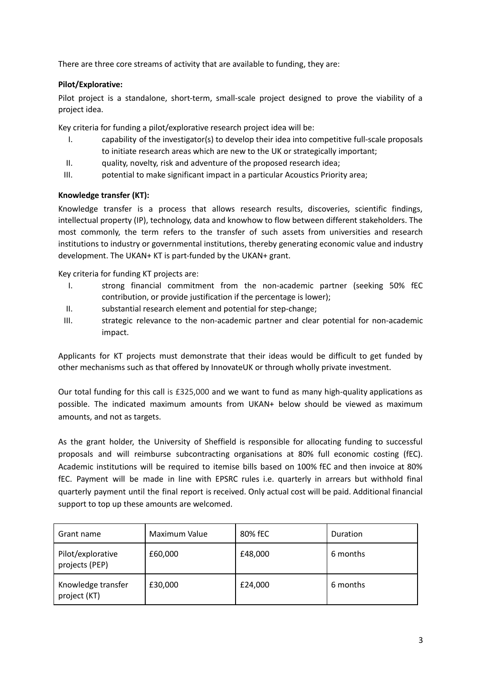There are three core streams of activity that are available to funding, they are:

# **Pilot/Explorative:**

Pilot project is a standalone, short-term, small-scale project designed to prove the viability of a project idea.

Key criteria for funding a pilot/explorative research project idea will be:

- I. capability of the investigator(s) to develop their idea into competitive full-scale proposals to initiate research areas which are new to the UK or strategically important;
- II. quality, novelty, risk and adventure of the proposed research idea;
- III. potential to make significant impact in a particular Acoustics Priority area;

# **Knowledge transfer (KT):**

Knowledge transfer is a process that allows research results, discoveries, scientific findings, intellectual property (IP), technology, data and knowhow to flow between different stakeholders. The most commonly, the term refers to the transfer of such assets from universities and research institutions to industry or governmental institutions, thereby generating economic value and industry development. The UKAN+ KT is part-funded by the UKAN+ grant.

Key criteria for funding KT projects are:

- I. strong financial commitment from the non-academic partner (seeking 50% fEC contribution, or provide justification if the percentage is lower);
- II. substantial research element and potential for step-change;
- III. strategic relevance to the non-academic partner and clear potential for non-academic impact.

Applicants for KT projects must demonstrate that their ideas would be difficult to get funded by other mechanisms such as that offered by InnovateUK or through wholly private investment.

Our total funding for this call is £325,000 and we want to fund as many high-quality applications as possible. The indicated maximum amounts from UKAN+ below should be viewed as maximum amounts, and not as targets.

As the grant holder, the University of Sheffield is responsible for allocating funding to successful proposals and will reimburse subcontracting organisations at 80% full economic costing (fEC). Academic institutions will be required to itemise bills based on 100% fEC and then invoice at 80% fEC. Payment will be made in line with EPSRC rules i.e. quarterly in arrears but withhold final quarterly payment until the final report is received. Only actual cost will be paid. Additional financial support to top up these amounts are welcomed.

| Grant name                          | Maximum Value | 80% fEC | Duration |
|-------------------------------------|---------------|---------|----------|
| Pilot/explorative<br>projects (PEP) | £60,000       | £48,000 | 6 months |
| Knowledge transfer<br>project (KT)  | £30,000       | £24,000 | 6 months |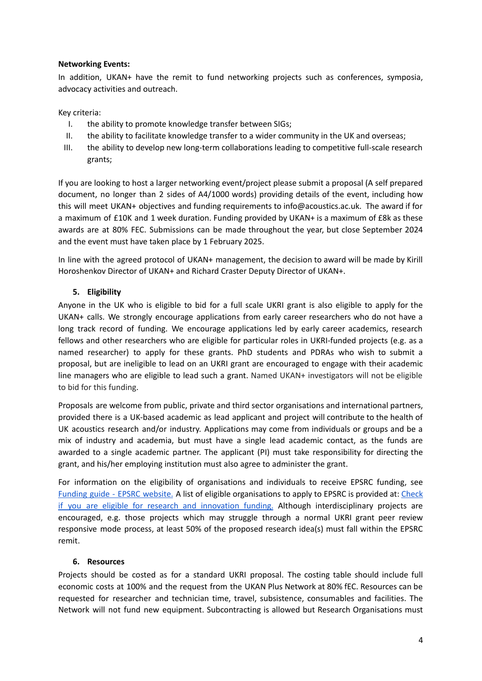#### **Networking Events:**

In addition, UKAN+ have the remit to fund networking projects such as conferences, symposia, advocacy activities and outreach.

Key criteria:

- I. the ability to promote knowledge transfer between SIGs;
- II. the ability to facilitate knowledge transfer to a wider community in the UK and overseas;
- III. the ability to develop new long-term collaborations leading to competitive full-scale research grants;

If you are looking to host a larger networking event/project please submit a proposal (A self prepared document, no longer than 2 sides of A4/1000 words) providing details of the event, including how this will meet UKAN+ objectives and funding requirements to info@acoustics.ac.uk. The award if for a maximum of £10K and 1 week duration. Funding provided by UKAN+ is a maximum of £8k as these awards are at 80% FEC. Submissions can be made throughout the year, but close September 2024 and the event must have taken place by 1 February 2025.

In line with the agreed protocol of UKAN+ management, the decision to award will be made by Kirill Horoshenkov Director of UKAN+ and Richard Craster Deputy Director of UKAN+.

#### **5. Eligibility**

Anyone in the UK who is eligible to bid for a full scale UKRI grant is also eligible to apply for the UKAN+ calls. We strongly encourage applications from early career researchers who do not have a long track record of funding. We encourage applications led by early career academics, research fellows and other researchers who are eligible for particular roles in UKRI-funded projects (e.g. as a named researcher) to apply for these grants. PhD students and PDRAs who wish to submit a proposal, but are ineligible to lead on an UKRI grant are encouraged to engage with their academic line managers who are eligible to lead such a grant. Named UKAN+ investigators will not be eligible to bid for this funding.

Proposals are welcome from public, private and third sector organisations and international partners, provided there is a UK-based academic as lead applicant and project will contribute to the health of UK acoustics research and/or industry. Applications may come from individuals or groups and be a mix of industry and academia, but must have a single lead academic contact, as the funds are awarded to a single academic partner. The applicant (PI) must take responsibility for directing the grant, and his/her employing institution must also agree to administer the grant.

For information on the eligibility of organisations and individuals to receive EPSRC funding, see [Funding](https://epsrc.ukri.org/funding/applicationprocess/fundingguide/) guide - EPSRC website. A list of eligible organisations to apply to EPSRC is provided at: [Check](https://www.ukri.org/funding/how-to-apply/eligibility/) if you are eligible for research and [innovation](https://www.ukri.org/funding/how-to-apply/eligibility/) funding. Although interdisciplinary projects are encouraged, e.g. those projects which may struggle through a normal UKRI grant peer review responsive mode process, at least 50% of the proposed research idea(s) must fall within the EPSRC remit.

#### **6. Resources**

Projects should be costed as for a standard UKRI proposal. The costing table should include full economic costs at 100% and the request from the UKAN Plus Network at 80% fEC. Resources can be requested for researcher and technician time, travel, subsistence, consumables and facilities. The Network will not fund new equipment. Subcontracting is allowed but Research Organisations must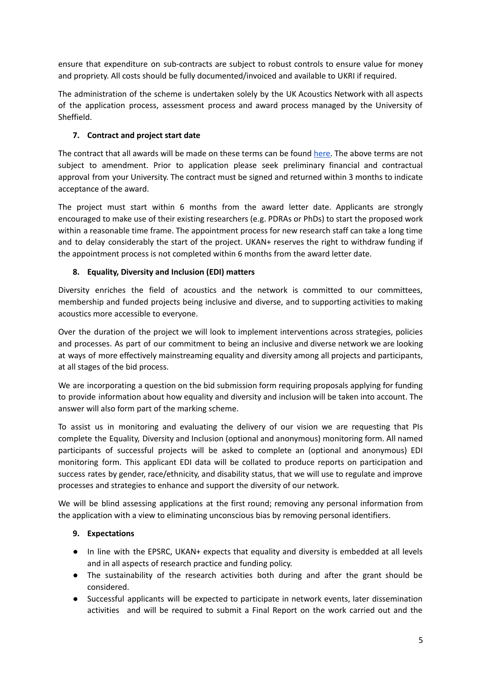ensure that expenditure on sub-contracts are subject to robust controls to ensure value for money and propriety. All costs should be fully documented/invoiced and available to UKRI if required.

The administration of the scheme is undertaken solely by the UK Acoustics Network with all aspects of the application process, assessment process and award process managed by the University of Sheffield.

# **7. Contract and project start date**

The contract that all awards will be made on these terms can be found [here.](https://docs.google.com/document/d/1DBW6f_llGdb0IL7wV7udTzECWazl7rTj/edit) The above terms are not subject to amendment. Prior to application please seek preliminary financial and contractual approval from your University. The contract must be signed and returned within 3 months to indicate acceptance of the award.

The project must start within 6 months from the award letter date. Applicants are strongly encouraged to make use of their existing researchers (e.g. PDRAs or PhDs) to start the proposed work within a reasonable time frame. The appointment process for new research staff can take a long time and to delay considerably the start of the project. UKAN+ reserves the right to withdraw funding if the appointment process is not completed within 6 months from the award letter date.

# **8. Equality, Diversity and Inclusion (EDI) matters**

Diversity enriches the field of acoustics and the network is committed to our committees, membership and funded projects being inclusive and diverse, and to supporting activities to making acoustics more accessible to everyone.

Over the duration of the project we will look to implement interventions across strategies, policies and processes. As part of our commitment to being an inclusive and diverse network we are looking at ways of more effectively mainstreaming equality and diversity among all projects and participants, at all stages of the bid process.

We are incorporating a question on the bid submission form requiring proposals applying for funding to provide information about how equality and diversity and inclusion will be taken into account. The answer will also form part of the marking scheme.

To assist us in monitoring and evaluating the delivery of our vision we are requesting that PIs complete the Equality, Diversity and Inclusion (optional and anonymous) monitoring form. All named participants of successful projects will be asked to complete an (optional and anonymous) EDI monitoring form. This applicant EDI data will be collated to produce reports on participation and success rates by gender, race/ethnicity, and disability status, that we will use to regulate and improve processes and strategies to enhance and support the diversity of our network.

We will be blind assessing applications at the first round; removing any personal information from the application with a view to eliminating unconscious bias by removing personal identifiers.

# **9. Expectations**

- In line with the EPSRC, UKAN+ expects that equality and diversity is embedded at all levels and in all aspects of research practice and funding policy.
- The sustainability of the research activities both during and after the grant should be considered.
- Successful applicants will be expected to participate in network events, later dissemination activities and will be required to submit a Final Report on the work carried out and the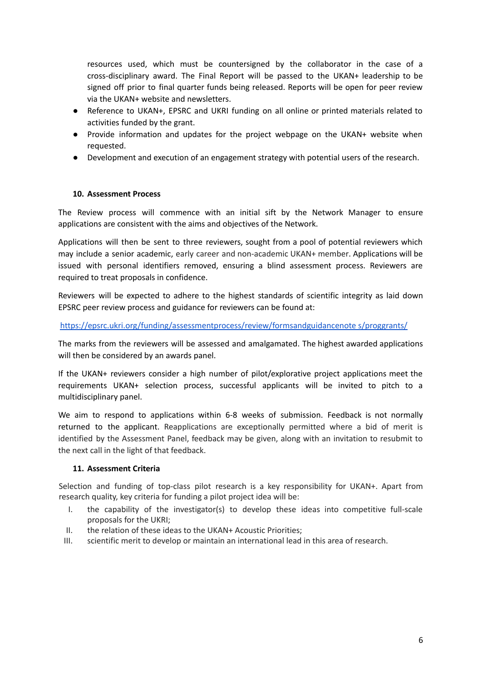resources used, which must be countersigned by the collaborator in the case of a cross-disciplinary award. The Final Report will be passed to the UKAN+ leadership to be signed off prior to final quarter funds being released. Reports will be open for peer review via the UKAN+ website and newsletters.

- Reference to UKAN+, EPSRC and UKRI funding on all online or printed materials related to activities funded by the grant.
- Provide information and updates for the project webpage on the UKAN+ website when requested.
- Development and execution of an engagement strategy with potential users of the research.

#### **10. Assessment Process**

The Review process will commence with an initial sift by the Network Manager to ensure applications are consistent with the aims and objectives of the Network.

Applications will then be sent to three reviewers, sought from a pool of potential reviewers which may include a senior academic, early career and non-academic UKAN+ member. Applications will be issued with personal identifiers removed, ensuring a blind assessment process. Reviewers are required to treat proposals in confidence.

Reviewers will be expected to adhere to the highest standards of scientific integrity as laid down EPSRC peer review process and guidance for reviewers can be found at:

<https://epsrc.ukri.org/funding/assessmentprocess/review/formsandguidancenote> s/proggrants/

The marks from the reviewers will be assessed and amalgamated. The highest awarded applications will then be considered by an awards panel.

If the UKAN+ reviewers consider a high number of pilot/explorative project applications meet the requirements UKAN+ selection process, successful applicants will be invited to pitch to a multidisciplinary panel.

We aim to respond to applications within 6-8 weeks of submission. Feedback is not normally returned to the applicant. Reapplications are exceptionally permitted where a bid of merit is identified by the Assessment Panel, feedback may be given, along with an invitation to resubmit to the next call in the light of that feedback.

#### **11. Assessment Criteria**

Selection and funding of top-class pilot research is a key responsibility for UKAN+. Apart from research quality, key criteria for funding a pilot project idea will be:

- I. the capability of the investigator(s) to develop these ideas into competitive full-scale proposals for the UKRI;
- II. the relation of these ideas to the UKAN+ Acoustic Priorities;
- III. scientific merit to develop or maintain an international lead in this area of research.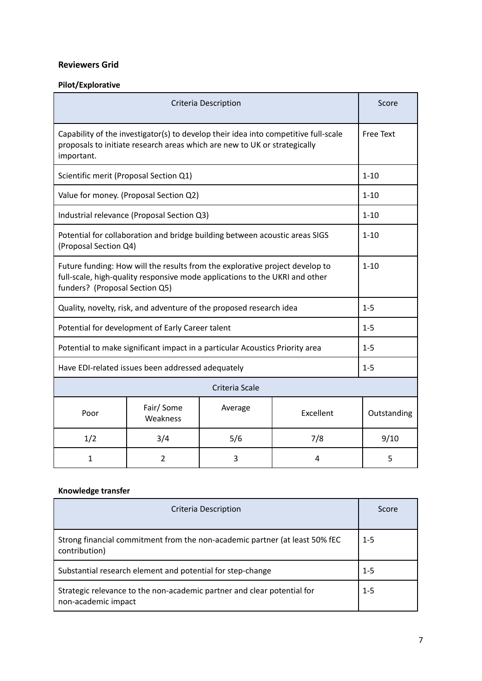# **Reviewers Grid**

# **Pilot/Explorative**

| <b>Criteria Description</b>                                                                                                                                                                   |                       |         | Score     |                  |
|-----------------------------------------------------------------------------------------------------------------------------------------------------------------------------------------------|-----------------------|---------|-----------|------------------|
| Capability of the investigator(s) to develop their idea into competitive full-scale<br>proposals to initiate research areas which are new to UK or strategically<br>important.                |                       |         |           | <b>Free Text</b> |
| Scientific merit (Proposal Section Q1)                                                                                                                                                        |                       |         | $1 - 10$  |                  |
| Value for money. (Proposal Section Q2)                                                                                                                                                        |                       |         |           | $1 - 10$         |
| Industrial relevance (Proposal Section Q3)                                                                                                                                                    |                       |         | $1 - 10$  |                  |
| Potential for collaboration and bridge building between acoustic areas SIGS<br>(Proposal Section Q4)                                                                                          |                       |         |           | $1 - 10$         |
| Future funding: How will the results from the explorative project develop to<br>full-scale, high-quality responsive mode applications to the UKRI and other<br>funders? (Proposal Section Q5) |                       |         |           | $1 - 10$         |
| Quality, novelty, risk, and adventure of the proposed research idea                                                                                                                           |                       |         | $1 - 5$   |                  |
| Potential for development of Early Career talent                                                                                                                                              |                       |         | $1 - 5$   |                  |
| Potential to make significant impact in a particular Acoustics Priority area                                                                                                                  |                       |         | $1 - 5$   |                  |
| Have EDI-related issues been addressed adequately                                                                                                                                             |                       |         | $1 - 5$   |                  |
| Criteria Scale                                                                                                                                                                                |                       |         |           |                  |
| Poor                                                                                                                                                                                          | Fair/Some<br>Weakness | Average | Excellent | Outstanding      |
| 1/2                                                                                                                                                                                           | 3/4                   | 5/6     | 7/8       | 9/10             |
| 1                                                                                                                                                                                             | 2                     | 3       | 4         | 5                |

# **Knowledge transfer**

| Criteria Description                                                                           | Score   |
|------------------------------------------------------------------------------------------------|---------|
| Strong financial commitment from the non-academic partner (at least 50% fEC<br>contribution)   | $1 - 5$ |
| Substantial research element and potential for step-change                                     | $1 - 5$ |
| Strategic relevance to the non-academic partner and clear potential for<br>non-academic impact | $1 - 5$ |